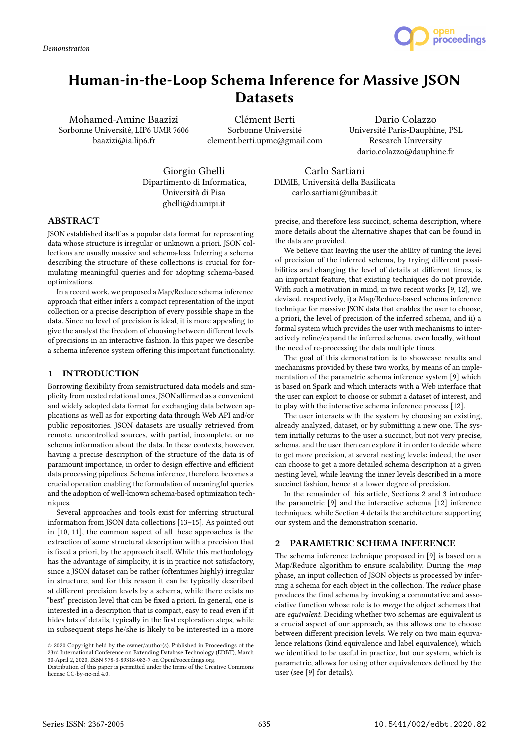

# Human-in-the-Loop Schema Inference for Massive JSON **Datasets**

Mohamed-Amine Baazizi Sorbonne Université, LIP6 UMR 7606 baazizi@ia.lip6.fr

Clément Berti Sorbonne Université clement.berti.upmc@gmail.com

Dario Colazzo Université Paris-Dauphine, PSL Research University dario.colazzo@dauphine.fr

Giorgio Ghelli Dipartimento di Informatica, Università di Pisa ghelli@di.unipi.it

Carlo Sartiani DIMIE, Università della Basilicata carlo.sartiani@unibas.it

# ABSTRACT

JSON established itself as a popular data format for representing data whose structure is irregular or unknown a priori. JSON collections are usually massive and schema-less. Inferring a schema describing the structure of these collections is crucial for formulating meaningful queries and for adopting schema-based optimizations.

In a recent work, we proposed a Map/Reduce schema inference approach that either infers a compact representation of the input collection or a precise description of every possible shape in the data. Since no level of precision is ideal, it is more appealing to give the analyst the freedom of choosing between different levels of precisions in an interactive fashion. In this paper we describe a schema inference system offering this important functionality.

### 1 INTRODUCTION

Borrowing flexibility from semistructured data models and simplicity from nested relational ones, JSON affirmed as a convenient and widely adopted data format for exchanging data between applications as well as for exporting data through Web API and/or public repositories. JSON datasets are usually retrieved from remote, uncontrolled sources, with partial, incomplete, or no schema information about the data. In these contexts, however, having a precise description of the structure of the data is of paramount importance, in order to design effective and efficient data processing pipelines. Schema inference, therefore, becomes a crucial operation enabling the formulation of meaningful queries and the adoption of well-known schema-based optimization techniques.

Several approaches and tools exist for inferring structural information from JSON data collections [13–15]. As pointed out in [10, 11], the common aspect of all these approaches is the extraction of some structural description with a precision that is fixed a priori, by the approach itself. While this methodology has the advantage of simplicity, it is in practice not satisfactory, since a JSON dataset can be rather (oftentimes highly) irregular in structure, and for this reason it can be typically described at different precision levels by a schema, while there exists no "best" precision level that can be fixed a priori. In general, one is interested in a description that is compact, easy to read even if it hides lots of details, typically in the first exploration steps, while in subsequent steps he/she is likely to be interested in a more

precise, and therefore less succinct, schema description, where more details about the alternative shapes that can be found in the data are provided.

We believe that leaving the user the ability of tuning the level of precision of the inferred schema, by trying different possibilities and changing the level of details at different times, is an important feature, that existing techniques do not provide. With such a motivation in mind, in two recent works [9, 12], we devised, respectively, i) a Map/Reduce-based schema inference technique for massive JSON data that enables the user to choose, a priori, the level of precision of the inferred schema, and ii) a formal system which provides the user with mechanisms to interactively refine/expand the inferred schema, even locally, without the need of re-processing the data multiple times.

The goal of this demonstration is to showcase results and mechanisms provided by these two works, by means of an implementation of the parametric schema inference system [9] which is based on Spark and which interacts with a Web interface that the user can exploit to choose or submit a dataset of interest, and to play with the interactive schema inference process [12].

The user interacts with the system by choosing an existing, already analyzed, dataset, or by submitting a new one. The system initially returns to the user a succinct, but not very precise, schema, and the user then can explore it in order to decide where to get more precision, at several nesting levels: indeed, the user can choose to get a more detailed schema description at a given nesting level, while leaving the inner levels described in a more succinct fashion, hence at a lower degree of precision.

In the remainder of this article, Sections 2 and 3 introduce the parametric [9] and the interactive schema [12] inference techniques, while Section 4 details the architecture supporting our system and the demonstration scenario.

# 2 PARAMETRIC SCHEMA INFERENCE

The schema inference technique proposed in [9] is based on a Map/Reduce algorithm to ensure scalability. During the map phase, an input collection of JSON objects is processed by inferring a schema for each object in the collection. The reduce phase produces the final schema by invoking a commutative and associative function whose role is to merge the object schemas that are equivalent. Deciding whether two schemas are equivalent is a crucial aspect of our approach, as this allows one to choose between different precision levels. We rely on two main equivalence relations (kind equivalence and label equivalence), which we identified to be useful in practice, but our system, which is parametric, allows for using other equivalences defined by the user (see [9] for details).

<sup>©</sup> 2020 Copyright held by the owner/author(s). Published in Proceedings of the 23rd International Conference on Extending Database Technology (EDBT), March 30-April 2, 2020, ISBN 978-3-89318-083-7 on OpenProceedings.org.

Distribution of this paper is permitted under the terms of the Creative Commons license CC-by-nc-nd 4.0.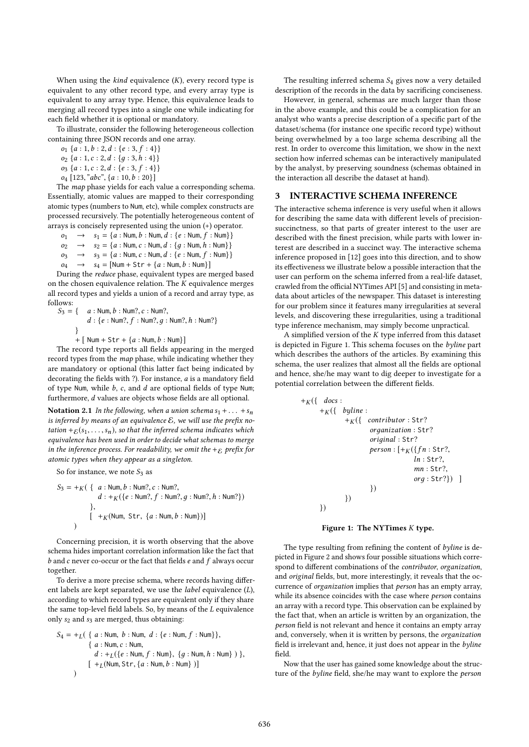When using the  $kind$  equivalence  $(K)$ , every record type is equivalent to any other record type, and every array type is equivalent to any array type. Hence, this equivalence leads to merging all record types into a single one while indicating for each field whether it is optional or mandatory.

To illustrate, consider the following heterogeneous collection containing three JSON records and one array.

 $o_1 \{a: 1, b: 2, d: \{e: 3, f: 4\}\}\$  $o_2 \{a: 1, c: 2, d: \{g: 3, h: 4\}\}\$ 

 $o_3$  { $a: 1, c: 2, d: \{e: 3, f: 4\}$ }

 $o_4$  [123, "abc", {a : 10, b : 20}]

The map phase yields for each value a corresponding schema. Essentially, atomic values are mapped to their corresponding atomic types (numbers to Num, etc), while complex constructs are processed recursively. The potentially heterogeneous content of arrays is concisely represented using the union (+) operator.

 $o_1 \rightarrow s_1 = \{a : \text{Num}, b : \text{Num}, d : \{e : \text{Num}, f : \text{Num}\} \}$ <br>  $o_2 \rightarrow s_2 = \{a : \text{Num } c : \text{Num } d : \{a : \text{Num } h : \text{Num}\} \}$ 

$$
o_2 \rightarrow s_2 = \{a : \text{Num}, c : \text{Num}, d : \{g : \text{Num}, h : \text{Num}\}\}
$$
  

$$
o_2 \rightarrow s_2 = \{a : \text{Num}, c : \text{Num}, d : \{a : \text{Num}, f : \text{Num}\}\}
$$

 $o_3 \rightarrow s_3 = \{a : \text{Num}, c : \text{Num}, d : \{e : \text{Num}, f : \text{Num}\}\}\$ 

 $o_4 \rightarrow s_4 = [\text{Num} + \text{Str} + \{a : \text{Num}, b : \text{Num}\}]$ 

During the reduce phase, equivalent types are merged based on the chosen equivalence relation. The  $K$  equivalence merges all record types and yields a union of a record and array type, as follows:<br> $S_3 = \{$ 

 $a:$  Num,  $b:$  Num?,  $c:$  Num?,  $d: \{e : \text{Num?, } f : \text{Num?, } g : \text{Num?, } h : \text{Num?}\}$ } +  $[$  Num + Str +  $\{a :$  Num,  $b :$  Num} $]$ 

The record type reports all fields appearing in the merged record types from the *map* phase, while indicating whether they are mandatory or optional (this latter fact being indicated by decorating the fields with ?). For instance, a is a mandatory field of type Num, while  $b$ ,  $c$ , and  $d$  are optional fields of type Num; furthermore, d values are objects whose fields are all optional.

**Notation 2.1** In the following, when a union schema  $s_1 + ... + s_n$ is inferred by means of an equivalence  $\mathcal{E}$ , we will use the prefix notation +  $E(s_1, \ldots, s_n)$ , so that the inferred schema indicates which equivalence has been used in order to decide what schemas to merge in the inference process. For readability, we omit the  $+\varepsilon$  prefix for atomic types when they appear as a singleton.

So for instance, we note  $S_3$  as

$$
S_3 = +K({ a : Num, b : Num?, c : Num?,\n d : +K({ e : Num?, f : Num?, g : Num?, h : Num?})\n}, \qquad \qquad +K(\text{Num, Str, { a : Num, b : Num })]
$$

Concerning precision, it is worth observing that the above schema hides important correlation information like the fact that  $b$  and  $c$  never co-occur or the fact that fields  $e$  and  $f$  always occur together.

To derive a more precise schema, where records having different labels are kept separated, we use the label equivalence (L), according to which record types are equivalent only if they share the same top-level field labels. So, by means of the L equivalence only  $s_2$  and  $s_3$  are merged, thus obtaining:

$$
S_4 = +_L( \{ a : Num, b : Num, d : \{ e : Num, f : Num \} \},
$$
  

$$
\{ a : Num, c : Num,
$$
  

$$
d : +_L(\{ e : Num, f : Num \}, \{ g : Num, h : Num \} \} ,
$$
  

$$
[ +_L(Num, Str, \{ a : Num, b : Num \} )]
$$

The resulting inferred schema  $S_4$  gives now a very detailed description of the records in the data by sacrificing conciseness.

However, in general, schemas are much larger than those in the above example, and this could be a complication for an analyst who wants a precise description of a specific part of the dataset/schema (for instance one specific record type) without being overwhelmed by a too large schema describing all the rest. In order to overcome this limitation, we show in the next section how inferred schemas can be interactively manipulated by the analyst, by preserving soundness (schemas obtained in the interaction all describe the dataset at hand).

#### 3 INTERACTIVE SCHEMA INFERENCE

The interactive schema inference is very useful when it allows for describing the same data with different levels of precisionsuccinctness, so that parts of greater interest to the user are described with the finest precision, while parts with lower interest are described in a succinct way. The interactive schema inference proposed in [12] goes into this direction, and to show its effectiveness we illustrate below a possible interaction that the user can perform on the schema inferred from a real-life dataset, crawled from the official NYTimes API [5] and consisting in metadata about articles of the newspaper. This dataset is interesting for our problem since it features many irregularities at several levels, and discovering these irregularities, using a traditional type inference mechanism, may simply become unpractical.

A simplified version of the  $K$  type inferred from this dataset is depicted in Figure 1. This schema focuses on the byline part which describes the authors of the articles. By examining this schema, the user realizes that almost all the fields are optional and hence, she/he may want to dig deeper to investigate for a potential correlation between the different fields.

```
+_{K}({ docs :
+_{K}({\begin{bmatrix} byline \end{bmatrix}}:
           +_{K}({\omega_{\text{in}}}) contributor : Str?
                     orдanization : Str?
                     oriдinal : Str?
                     person: [+K({fn:Str?},ln : Str?,
                                       mn : Str?,
                                       org : Str?}) ]
                     })
           })
})
```
#### Figure 1: The NYTimes K type.

The type resulting from refining the content of byline is depicted in Figure 2 and shows four possible situations which correspond to different combinations of the contributor, organization, and original fields, but, more interestingly, it reveals that the occurrence of organization implies that person has an empty array, while its absence coincides with the case where *person* contains an array with a record type. This observation can be explained by the fact that, when an article is written by an organization, the person field is not relevant and hence it contains an empty array and, conversely, when it is written by persons, the organization field is irrelevant and, hence, it just does not appear in the byline field.

Now that the user has gained some knowledge about the structure of the byline field, she/he may want to explore the person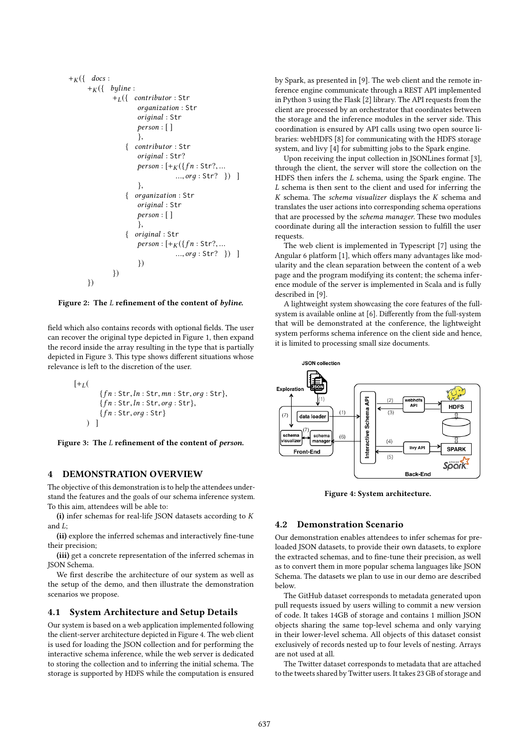```
+_{K}({\begin{matrix} 1 & \text{docs} \end{matrix}})+_{K}({\begin{bmatrix} \quad byline \ \end{bmatrix}}+L({ contributor : Str
                     orдanization : Str
                     original : Str
                     person : [ ]
                     },
                { contributor : Str
                     oriдinal : Str?
                     person: [ + _K({f n}: Str?, ......, org: Str? }) ]
                     },
                   organization : Str
                     oriдinal : Str
                     person : [ ]
                     },
                   original : Str
                     person: [ +<sub>K</sub>({fn:Str?, ...}..., orд : Str? }) ]
                     })
          })
})
```
Figure 2: The L refinement of the content of byline.

field which also contains records with optional fields. The user can recover the original type depicted in Figure 1, then expand the record inside the array resulting in the type that is partially depicted in Figure 3. This type shows different situations whose relevance is left to the discretion of the user.

$$
[+_L(
$$
  
\n{fn: Str, ln: Str, mn: Str, org: Str},  
\n{fn: Str, ln: Str, org: Str},  
\n{fn: Str, org: Str}



#### 4 DEMONSTRATION OVERVIEW

The objective of this demonstration is to help the attendees understand the features and the goals of our schema inference system. To this aim, attendees will be able to:

(i) infer schemas for real-life JSON datasets according to K and L;

(ii) explore the inferred schemas and interactively fine-tune their precision;

(iii) get a concrete representation of the inferred schemas in JSON Schema.

We first describe the architecture of our system as well as the setup of the demo, and then illustrate the demonstration scenarios we propose.

#### 4.1 System Architecture and Setup Details

Our system is based on a web application implemented following the client-server architecture depicted in Figure 4. The web client is used for loading the JSON collection and for performing the interactive schema inference, while the web server is dedicated to storing the collection and to inferring the initial schema. The storage is supported by HDFS while the computation is ensured by Spark, as presented in [9]. The web client and the remote inference engine communicate through a REST API implemented in Python 3 using the Flask [2] library. The API requests from the client are processed by an orchestrator that coordinates between the storage and the inference modules in the server side. This coordination is ensured by API calls using two open source libraries: webHDFS [8] for communicating with the HDFS storage system, and livy [4] for submitting jobs to the Spark engine.

Upon receiving the input collection in JSONLines format [3], through the client, the server will store the collection on the HDFS then infers the L schema, using the Spark engine. The L schema is then sent to the client and used for inferring the K schema. The schema visualizer displays the K schema and translates the user actions into corresponding schema operations that are processed by the schema manager. These two modules coordinate during all the interaction session to fulfill the user requests.

The web client is implemented in Typescript [7] using the Angular 6 platform [1], which offers many advantages like modularity and the clean separation between the content of a web page and the program modifying its content; the schema inference module of the server is implemented in Scala and is fully described in [9].

A lightweight system showcasing the core features of the fullsystem is available online at [6]. Differently from the full-system that will be demonstrated at the conference, the lightweight system performs schema inference on the client side and hence, it is limited to processing small size documents.



Figure 4: System architecture.

#### 4.2 Demonstration Scenario

Our demonstration enables attendees to infer schemas for preloaded JSON datasets, to provide their own datasets, to explore the extracted schemas, and to fine-tune their precision, as well as to convert them in more popular schema languages like JSON Schema. The datasets we plan to use in our demo are described below.

The GitHub dataset corresponds to metadata generated upon pull requests issued by users willing to commit a new version of code. It takes 14GB of storage and contains 1 million JSON objects sharing the same top-level schema and only varying in their lower-level schema. All objects of this dataset consist exclusively of records nested up to four levels of nesting. Arrays are not used at all.

The Twitter dataset corresponds to metadata that are attached to the tweets shared by Twitter users. It takes 23 GB of storage and